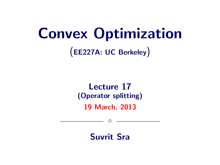# Convex Optimization

(EE227A: UC Berkeley)

## Lecture 17 (Operator splitting) 19 March, 2013

Suvrit Sra

 $\circ$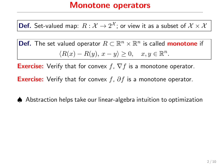## Monotone operators

**Def.** Set-valued map:  $R:\mathcal{X}\rightarrow2^{\mathcal{X}};$  or view it as a subset of  $\mathcal{X}\times\mathcal{X}$ 

Def. The set valued operator  $R \subset \mathbb{R}^n \times \mathbb{R}^n$  is called **monotone** if  $\langle R(x) - R(y), x - y \rangle \geq 0, \quad x, y \in \mathbb{R}^n.$ 

**Exercise:** Verify that for convex  $f$ ,  $\nabla f$  is a monotone operator.

**Exercise:** Verify that for convex f,  $\partial f$  is a monotone operator.

♠ Abstraction helps take our linear-algebra intuition to optimization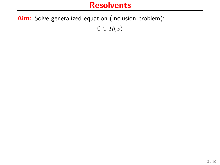## **Resolvents**

Aim: Solve generalized equation (inclusion problem):

 $0 \in R(x)$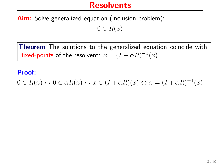#### **Resolvents**

Aim: Solve generalized equation (inclusion problem):

 $0 \in R(x)$ 

**Theorem** The solutions to the generalized equation coincide with fixed-points of the resolvent:  $x = (I + \alpha R)^{-1}(x)$ 

#### Proof:

 $0 \in R(x) \leftrightarrow 0 \in \alpha R(x) \leftrightarrow x \in (I + \alpha R)(x) \leftrightarrow x = (I + \alpha R)^{-1}(x)$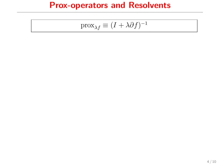## Prox-operators and Resolvents

$$
\mathrm{prox}_{\lambda f} \equiv (I + \lambda \partial f)^{-1}
$$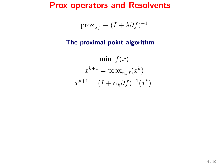## Prox-operators and Resolvents

$$
\operatorname{prox}_{\lambda f} \equiv (I + \lambda \partial f)^{-1}
$$

#### The proximal-point algorithm

$$
\min f(x)
$$

$$
x^{k+1} = \text{prox}_{\alpha_k f}(x^k)
$$

$$
x^{k+1} = (I + \alpha_k \partial f)^{-1}(x^k)
$$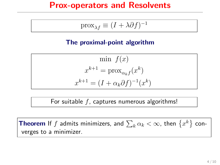#### Prox-operators and Resolvents

$$
\operatorname{prox}_{\lambda f} \equiv (I + \lambda \partial f)^{-1}
$$

#### The proximal-point algorithm

$$
\min f(x)
$$

$$
x^{k+1} = \text{prox}_{\alpha_k f}(x^k)
$$

$$
x^{k+1} = (I + \alpha_k \partial f)^{-1}(x^k)
$$

For suitable  $f$ , captures numerous algorithms!

**Theorem** If  $f$  admits minimizers, and  $\sum_k \alpha_k < \infty$ , then  $\left\{x^k\right\}$  converges to a minimizer.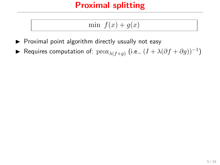$$
\min f(x) + g(x)
$$

- $\blacktriangleright$  Proximal point algorithm directly usually not easy
- ► Requires computation of:  $\mathrm{prox}_{\lambda(f+g)}$  (i.e.,  $(I + \lambda(\partial f + \partial g))^{-1})$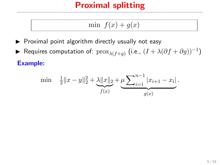$$
\min f(x) + g(x)
$$

- $\blacktriangleright$  Proximal point algorithm directly usually not easy
- ► Requires computation of:  $\mathrm{prox}_{\lambda(f+g)}$  (i.e.,  $(I + \lambda(\partial f + \partial g))^{-1})$ Example:

min 
$$
\frac{1}{2} ||x - y||_2^2 + \underbrace{\lambda ||x||_2}_{f(x)} + \underbrace{\mu \sum_{i=1}^{n-1} |x_{i+1} - x_i|}_{g(x)}
$$
.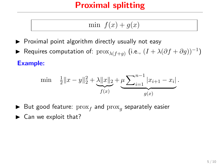$$
\min f(x) + g(x)
$$

- $\triangleright$  Proximal point algorithm directly usually not easy
- ► Requires computation of:  $\mathrm{prox}_{\lambda(f+g)}$  (i.e.,  $(I + \lambda(\partial f + \partial g))^{-1})$ Example:

$$
\min \quad \frac{1}{2} \|x - y\|_2^2 + \underbrace{\lambda \|x\|_2}_{f(x)} + \underbrace{\mu \sum_{i=1}^{n-1} |x_{i+1} - x_i|}_{g(x)}.
$$

- $\blacktriangleright$  But good feature:  $prox_f$  and  $prox_g$  separately easier
- $\blacktriangleright$  Can we exploit that?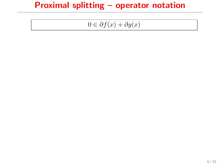$$
0 \in \partial f(x) + \partial g(x)
$$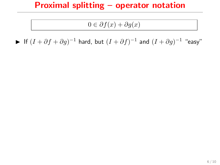#### $0 \in \partial f(x) + \partial g(x)$

► If  $(I + \partial f + \partial g)^{-1}$  hard, but  $(I + \partial f)^{-1}$  and  $(I + \partial g)^{-1}$  "easy"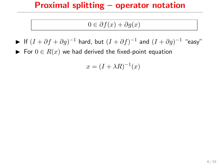#### $0 \in \partial f(x) + \partial g(x)$

- ► If  $(I + \partial f + \partial g)^{-1}$  hard, but  $(I + \partial f)^{-1}$  and  $(I + \partial g)^{-1}$  "easy"
- ► For  $0 \in R(x)$  we had derived the fixed-point equation

$$
x = (I + \lambda R)^{-1}(x)
$$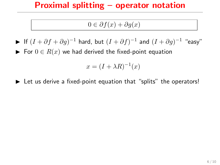#### $0 \in \partial f(x) + \partial g(x)$

- ► If  $(I + \partial f + \partial g)^{-1}$  hard, but  $(I + \partial f)^{-1}$  and  $(I + \partial g)^{-1}$  "easy"
- ► For  $0 \in R(x)$  we had derived the fixed-point equation

$$
x = (I + \lambda R)^{-1}(x)
$$

 $\blacktriangleright$  Let us derive a fixed-point equation that "splits" the operators!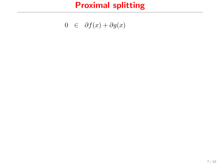$$
0 \in \partial f(x) + \partial g(x)
$$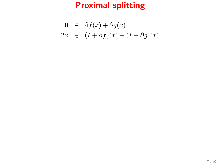$$
0 \in \partial f(x) + \partial g(x)
$$
  
2x \in (I + \partial f)(x) + (I + \partial g)(x)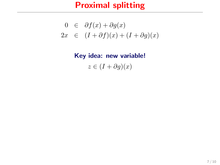$$
0 \in \partial f(x) + \partial g(x)
$$
  
2x \in (I + \partial f)(x) + (I + \partial g)(x)

Key idea: new variable!  $z \in (I + \partial g)(x)$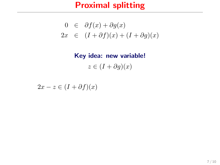$$
0 \in \partial f(x) + \partial g(x)
$$
  
2x \in (I + \partial f)(x) + (I + \partial g)(x)

Key idea: new variable!  $z \in (I + \partial g)(x)$ 

 $2x - z \in (I + \partial f)(x)$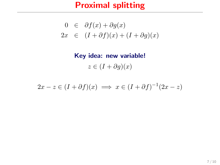$$
0 \in \partial f(x) + \partial g(x)
$$
  
2x \in (I + \partial f)(x) + (I + \partial g)(x)

Key idea: new variable!  $z \in (I + \partial g)(x)$ 

$$
2x - z \in (I + \partial f)(x) \implies x \in (I + \partial f)^{-1}(2x - z)
$$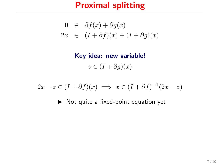$$
0 \in \partial f(x) + \partial g(x)
$$
  
2x \in (I + \partial f)(x) + (I + \partial g)(x)

Key idea: new variable!  $z \in (I + \partial g)(x)$ 

$$
2x - z \in (I + \partial f)(x) \implies x \in (I + \partial f)^{-1}(2x - z)
$$

 $\triangleright$  Not quite a fixed-point equation yet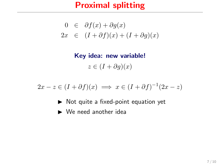$$
0 \in \partial f(x) + \partial g(x)
$$
  
2x \in (I + \partial f)(x) + (I + \partial g)(x)

Key idea: new variable!  $z \in (I + \partial g)(x)$ 

 $2x - z \in (I + \partial f)(x) \implies x \in (I + \partial f)^{-1}(2x - z)$ 

- $\triangleright$  Not quite a fixed-point equation yet
- $\blacktriangleright$  We need another idea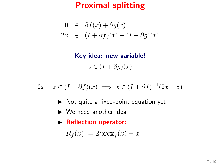$$
0 \in \partial f(x) + \partial g(x)
$$
  
2x \in (I + \partial f)(x) + (I + \partial g)(x)

Key idea: new variable!  $z \in (I + \partial g)(x)$ 

$$
2x - z \in (I + \partial f)(x) \implies x \in (I + \partial f)^{-1}(2x - z)
$$

- $\triangleright$  Not quite a fixed-point equation yet
- $\blacktriangleright$  We need another idea
- **Reflection operator:**

$$
R_f(x) := 2\operatorname{prox}_f(x) - x
$$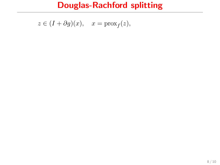$$
z \in (I + \partial g)(x), \quad x = \text{prox}_f(z),
$$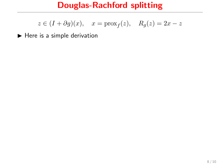$$
z\in (I+\partial g)(x),\quad x=\operatorname{prox}_f(z),\quad R_g(z)=2x-z
$$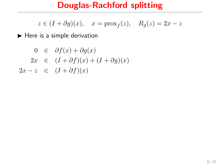$$
z\in (I+\partial g)(x),\quad x=\operatorname{prox}_f(z),\quad R_g(z)=2x-z
$$

$$
0 \in \partial f(x) + \partial g(x)
$$
  
\n
$$
2x \in (I + \partial f)(x) + (I + \partial g)(x)
$$
  
\n
$$
2x - z \in (I + \partial f)(x)
$$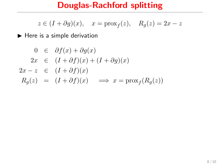$$
z\in (I+\partial g)(x),\quad x=\operatorname{prox}_f(z),\quad R_g(z)=2x-z
$$

$$
0 \in \partial f(x) + \partial g(x)
$$
  
\n
$$
2x \in (I + \partial f)(x) + (I + \partial g)(x)
$$
  
\n
$$
2x - z \in (I + \partial f)(x)
$$
  
\n
$$
R_g(z) = (I + \partial f)(x) \implies x = \text{prox}_f(R_g(z))
$$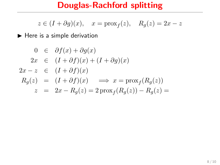$$
z\in (I+\partial g)(x),\quad x=\operatorname{prox}_f(z),\quad R_g(z)=2x-z
$$

$$
0 \in \partial f(x) + \partial g(x)
$$
  
\n
$$
2x \in (I + \partial f)(x) + (I + \partial g)(x)
$$
  
\n
$$
2x - z \in (I + \partial f)(x)
$$
  
\n
$$
R_g(z) = (I + \partial f)(x) \implies x = \text{prox}_f(R_g(z))
$$
  
\n
$$
z = 2x - R_g(z) = 2\text{prox}_f(R_g(z)) - R_g(z) =
$$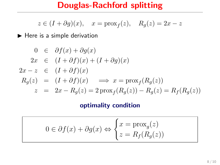$$
z\in (I+\partial g)(x),\quad x=\operatorname{prox}_f(z),\quad R_g(z)=2x-z
$$

 $\blacktriangleright$  Here is a simple derivation

$$
0 \in \partial f(x) + \partial g(x)
$$
  
\n
$$
2x \in (I + \partial f)(x) + (I + \partial g)(x)
$$
  
\n
$$
2x - z \in (I + \partial f)(x)
$$
  
\n
$$
R_g(z) = (I + \partial f)(x) \implies x = \text{prox}_f(R_g(z))
$$
  
\n
$$
z = 2x - R_g(z) = 2\text{prox}_f(R_g(z)) - R_g(z) = R_f(R_g(z))
$$

#### optimality condition

$$
0 \in \partial f(x) + \partial g(x) \Leftrightarrow \begin{cases} x = \text{prox}_{g}(z) \\ z = R_f(R_g(z)) \end{cases}
$$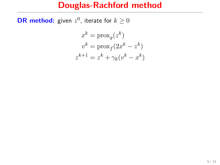## Douglas-Rachford method

**DR method:** given  $z^0$ , iterate for  $k \geq 0$ 

$$
x^{k} = \text{prox}_{g}(z^{k})
$$

$$
v^{k} = \text{prox}_{f}(2x^{k} - z^{k})
$$

$$
z^{k+1} = z^{k} + \gamma_{k}(v^{k} - x^{k})
$$